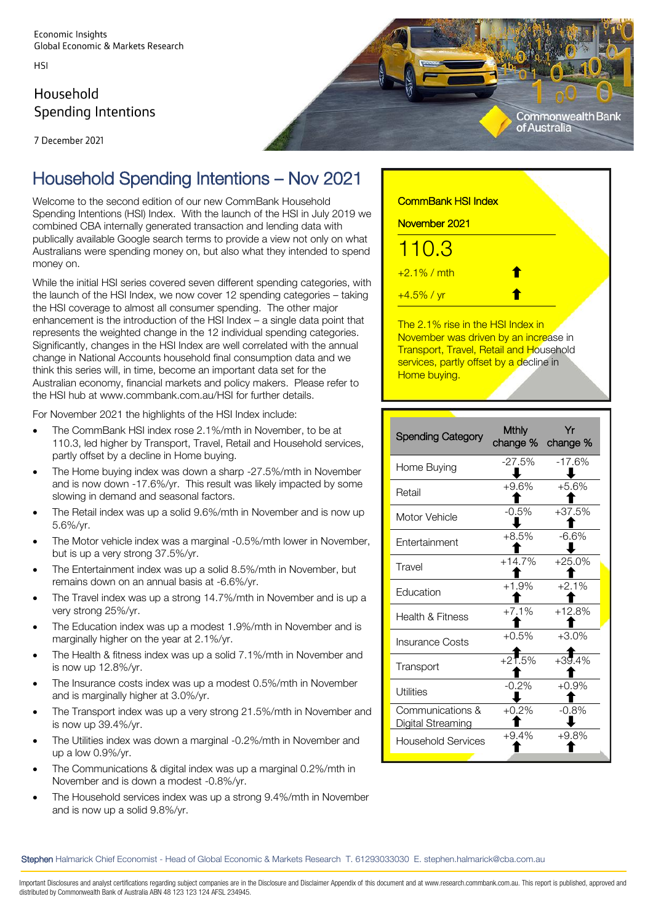HSI

# Household **Spending Intentions**



7 December 2021

# Household Spending Intentions – Nov 2021

Welcome to the second edition of our new CommBank Household Spending Intentions (HSI) Index. With the launch of the HSI in July 2019 we combined CBA internally generated transaction and lending data with publically available Google search terms to provide a view not only on what Australians were spending money on, but also what they intended to spend money on.

While the initial HSI series covered seven different spending categories, with the launch of the HSI Index, we now cover 12 spending categories – taking the HSI coverage to almost all consumer spending. The other major enhancement is the introduction of the HSI Index – a single data point that represents the weighted change in the 12 individual spending categories. Significantly, changes in the HSI Index are well correlated with the annual change in National Accounts household final consumption data and we think this series will, in time, become an important data set for the Australian economy, financial markets and policy makers. Please refer to the HSI hub at [www.commbank.com.au/HSI](http://www.commbank.com.au/HSI) for further details.

For November 2021 the highlights of the HSI Index include:

- The CommBank HSI index rose 2.1%/mth in November, to be at 110.3, led higher by Transport, Travel, Retail and Household services, partly offset by a decline in Home buying.
- The Home buying index was down a sharp -27.5%/mth in November and is now down -17.6%/yr. This result was likely impacted by some slowing in demand and seasonal factors.
- The Retail index was up a solid 9.6%/mth in November and is now up 5.6%/yr.
- The Motor vehicle index was a marginal -0.5%/mth lower in November, but is up a very strong 37.5%/yr.
- The Entertainment index was up a solid 8.5%/mth in November, but remains down on an annual basis at -6.6%/yr.
- The Travel index was up a strong 14.7%/mth in November and is up a very strong 25%/yr.
- The Education index was up a modest 1.9%/mth in November and is marginally higher on the year at 2.1%/yr.
- The Health & fitness index was up a solid 7.1%/mth in November and is now up 12.8%/yr.
- The Insurance costs index was up a modest 0.5%/mth in November and is marginally higher at 3.0%/yr.
- The Transport index was up a very strong 21.5%/mth in November and is now up 39.4%/yr.
- The Utilities index was down a marginal -0.2%/mth in November and up a low 0.9%/yr.
- The Communications & digital index was up a marginal 0.2%/mth in November and is down a modest -0.8%/yr.
- The Household services index was up a strong 9.4%/mth in November and is now up a solid 9.8%/yr.

| <b>CommBank HSI Index</b> |   |  |
|---------------------------|---|--|
| November 2021             |   |  |
| 110.3                     |   |  |
| $+2.1\%$ / mth            | T |  |
| $+4.5\%$ / yr             |   |  |
|                           |   |  |

The 2.1% rise in the HSI Index in November was driven by an increase in **Transport, Travel, Retail and Household** services, partly offset by a decline in Home buying.

| <b>Spending Category</b>                     | <b>Mthly</b><br>change % | Yr<br>change % |
|----------------------------------------------|--------------------------|----------------|
| Home Buying                                  | $-27.5%$                 | $-17.6%$       |
| Retail                                       | $+9.6%$                  | $+5.6%$        |
| Motor Vehicle                                | $-0.5%$                  | $+37.5%$       |
| Fntertainment                                | $+8.5%$                  | $-6.6%$        |
| Travel                                       | $+14.7%$                 | $+25.0%$       |
| Fducation                                    | $+1.9%$                  | $+2.1%$        |
| <b>Health &amp; Fitness</b>                  | $+7.1%$                  | $+12.8%$       |
| Insurance Costs                              | $+0.5%$                  | $+3.0%$        |
| Transport                                    | $+21.5%$                 | $+39.4%$       |
| Utilities                                    | $-0.2\%$                 | $+0.9\%$       |
| Communications &<br><u>Digital Streaming</u> | $+0.2%$                  | $-0.8%$        |
| Household Services                           | $+9.4%$                  | $+9.8%$        |

Stephen Halmarick Chief Economist - Head of Global Economic & Markets Research T. 61293033030 E. stephen.halmarick@cba.com.au

Important Disclosures and analyst certifications regarding subject companies are in the Disclosure and Disclaimer Appendix of this document and at www.research.commbank.com.au. This report is published, approved and distributed by Commonwealth Bank of Australia ABN 48 123 123 124 AFSL 234945.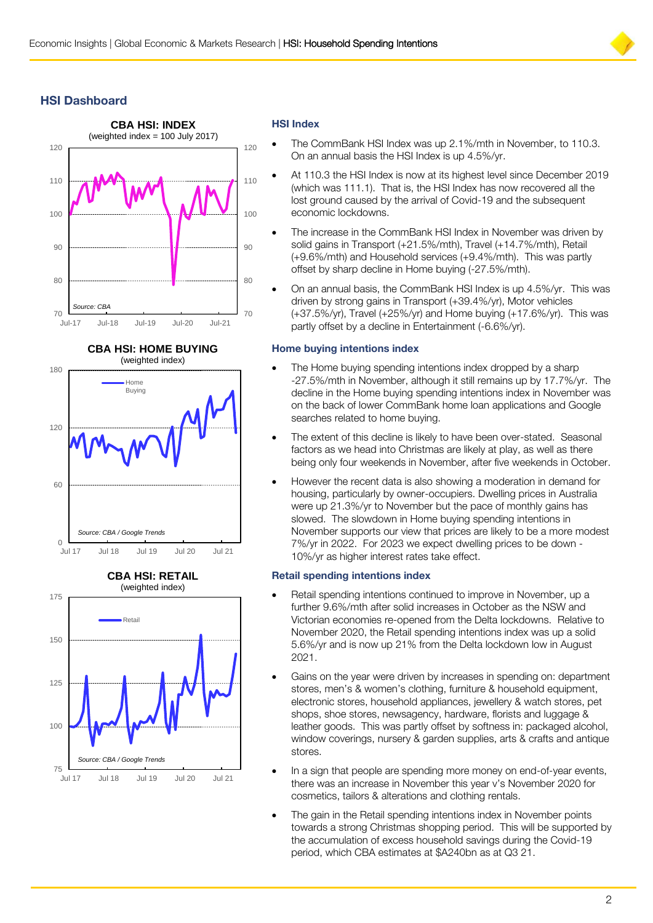# **HSI Dashboard**





#### **CBA HSI: RETAIL** (weighted index)



# **HSI Index**

- The CommBank HSI Index was up 2.1%/mth in November, to 110.3. On an annual basis the HSI Index is up 4.5%/yr.
- At 110.3 the HSI Index is now at its highest level since December 2019 (which was 111.1). That is, the HSI Index has now recovered all the lost ground caused by the arrival of Covid-19 and the subsequent economic lockdowns.
- The increase in the CommBank HSI Index in November was driven by solid gains in Transport (+21.5%/mth), Travel (+14.7%/mth), Retail (+9.6%/mth) and Household services (+9.4%/mth). This was partly offset by sharp decline in Home buying (-27.5%/mth).
- On an annual basis, the CommBank HSI Index is up 4.5%/yr. This was driven by strong gains in Transport (+39.4%/yr), Motor vehicles (+37.5%/yr), Travel (+25%/yr) and Home buying (+17.6%/yr). This was partly offset by a decline in Entertainment (-6.6%/yr).

### **Home buying intentions index**

- The Home buying spending intentions index dropped by a sharp -27.5%/mth in November, although it still remains up by 17.7%/yr. The decline in the Home buying spending intentions index in November was on the back of lower CommBank home loan applications and Google searches related to home buying.
- The extent of this decline is likely to have been over-stated. Seasonal factors as we head into Christmas are likely at play, as well as there being only four weekends in November, after five weekends in October.
- However the recent data is also showing a moderation in demand for housing, particularly by owner-occupiers. Dwelling prices in Australia were up 21.3%/yr to November but the pace of monthly gains has slowed. The slowdown in Home buying spending intentions in November supports our view that prices are likely to be a more modest 7%/yr in 2022. For 2023 we expect dwelling prices to be down - 10%/yr as higher interest rates take effect.

#### **Retail spending intentions index**

- Retail spending intentions continued to improve in November, up a further 9.6%/mth after solid increases in October as the NSW and Victorian economies re-opened from the Delta lockdowns. Relative to November 2020, the Retail spending intentions index was up a solid 5.6%/yr and is now up 21% from the Delta lockdown low in August 2021.
- Gains on the year were driven by increases in spending on: department stores, men's & women's clothing, furniture & household equipment, electronic stores, household appliances, jewellery & watch stores, pet shops, shoe stores, newsagency, hardware, florists and luggage & leather goods. This was partly offset by softness in: packaged alcohol, window coverings, nursery & garden supplies, arts & crafts and antique stores.
- In a sign that people are spending more money on end-of-year events, there was an increase in November this year v's November 2020 for cosmetics, tailors & alterations and clothing rentals.
- The gain in the Retail spending intentions index in November points towards a strong Christmas shopping period. This will be supported by the accumulation of excess household savings during the Covid-19 period, which CBA estimates at \$A240bn as at Q3 21.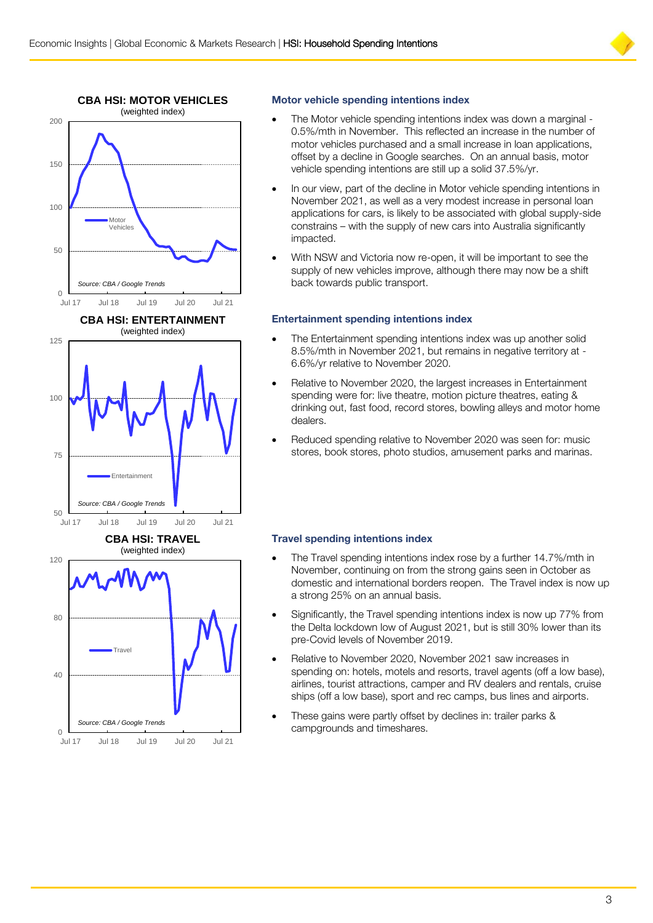



#### **Motor vehicle spending intentions index**

- The Motor vehicle spending intentions index was down a marginal 0.5%/mth in November. This reflected an increase in the number of motor vehicles purchased and a small increase in loan applications, offset by a decline in Google searches. On an annual basis, motor vehicle spending intentions are still up a solid 37.5%/yr.
- In our view, part of the decline in Motor vehicle spending intentions in November 2021, as well as a very modest increase in personal loan applications for cars, is likely to be associated with global supply-side constrains – with the supply of new cars into Australia significantly impacted.
- With NSW and Victoria now re-open, it will be important to see the supply of new vehicles improve, although there may now be a shift back towards public transport.

### **Entertainment spending intentions index**

- The Entertainment spending intentions index was up another solid 8.5%/mth in November 2021, but remains in negative territory at - 6.6%/yr relative to November 2020.
- Relative to November 2020, the largest increases in Entertainment spending were for: live theatre, motion picture theatres, eating & drinking out, fast food, record stores, bowling alleys and motor home dealers.
- Reduced spending relative to November 2020 was seen for: music stores, book stores, photo studios, amusement parks and marinas.

# **Travel spending intentions index**

- The Travel spending intentions index rose by a further 14.7%/mth in November, continuing on from the strong gains seen in October as domestic and international borders reopen. The Travel index is now up a strong 25% on an annual basis.
- Significantly, the Travel spending intentions index is now up 77% from the Delta lockdown low of August 2021, but is still 30% lower than its pre-Covid levels of November 2019.
- Relative to November 2020, November 2021 saw increases in spending on: hotels, motels and resorts, travel agents (off a low base), airlines, tourist attractions, camper and RV dealers and rentals, cruise ships (off a low base), sport and rec camps, bus lines and airports.
- These gains were partly offset by declines in: trailer parks & campgrounds and timeshares.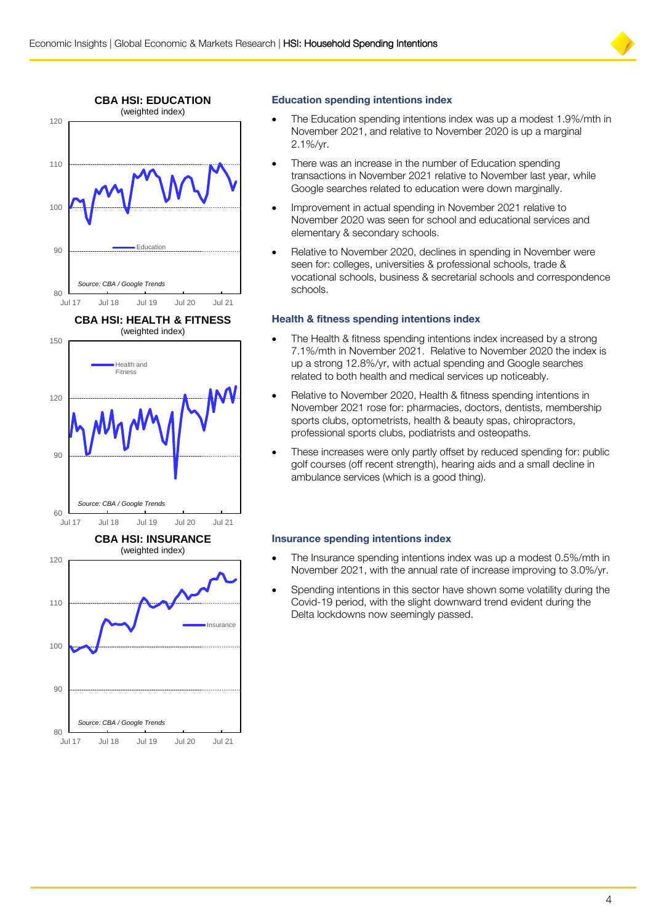



#### **Education spending intentions index**

- The Education spending intentions index was up a modest 1.9%/mth in November 2021, and relative to November 2020 is up a marginal 2.1%/yr.
- There was an increase in the number of Education spending transactions in November 2021 relative to November last year, while Google searches related to education were down marginally.
- Improvement in actual spending in November 2021 relative to November 2020 was seen for school and educational services and elementary & secondary schools.
- Relative to November 2020, declines in spending in November were seen for: colleges, universities & professional schools, trade & vocational schools, business & secretarial schools and correspondence schools.

#### **Health & fitness spending intentions index**

- The Health & fitness spending intentions index increased by a strong 7.1%/mth in November 2021. Relative to November 2020 the index is up a strong 12.8%/yr, with actual spending and Google searches related to both health and medical services up noticeably.
- Relative to November 2020, Health & fitness spending intentions in November 2021 rose for: pharmacies, doctors, dentists, membership sports clubs, optometrists, health & beauty spas, chiropractors, professional sports clubs, podiatrists and osteopaths.
- These increases were only partly offset by reduced spending for: public golf courses (off recent strength), hearing aids and a small decline in ambulance services (which is a good thing).

#### **Insurance spending intentions index**

- The Insurance spending intentions index was up a modest 0.5%/mth in November 2021, with the annual rate of increase improving to 3.0%/yr.
- Spending intentions in this sector have shown some volatility during the Covid-19 period, with the slight downward trend evident during the Delta lockdowns now seemingly passed.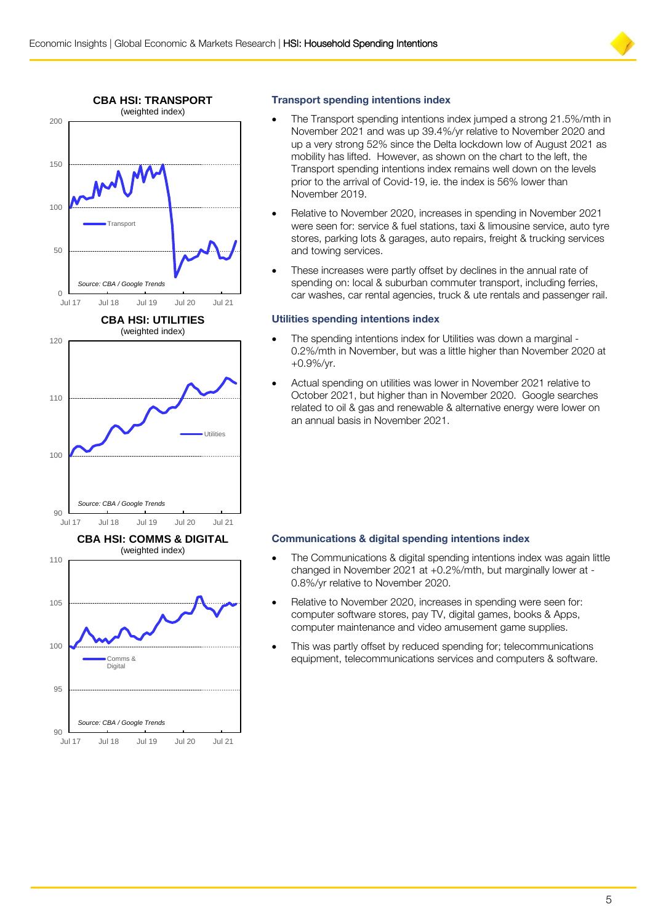



### **Transport spending intentions index**

- The Transport spending intentions index jumped a strong 21.5%/mth in November 2021 and was up 39.4%/yr relative to November 2020 and up a very strong 52% since the Delta lockdown low of August 2021 as mobility has lifted. However, as shown on the chart to the left, the Transport spending intentions index remains well down on the levels prior to the arrival of Covid-19, ie. the index is 56% lower than November 2019.
- Relative to November 2020, increases in spending in November 2021 were seen for: service & fuel stations, taxi & limousine service, auto tyre stores, parking lots & garages, auto repairs, freight & trucking services and towing services.
- These increases were partly offset by declines in the annual rate of spending on: local & suburban commuter transport, including ferries, car washes, car rental agencies, truck & ute rentals and passenger rail.

#### **Utilities spending intentions index**

- The spending intentions index for Utilities was down a marginal 0.2%/mth in November, but was a little higher than November 2020 at +0.9%/yr.
- Actual spending on utilities was lower in November 2021 relative to October 2021, but higher than in November 2020. Google searches related to oil & gas and renewable & alternative energy were lower on an annual basis in November 2021.

#### **Communications & digital spending intentions index**

- The Communications & digital spending intentions index was again little changed in November 2021 at +0.2%/mth, but marginally lower at - 0.8%/yr relative to November 2020.
- Relative to November 2020, increases in spending were seen for: computer software stores, pay TV, digital games, books & Apps, computer maintenance and video amusement game supplies.
- This was partly offset by reduced spending for; telecommunications equipment, telecommunications services and computers & software.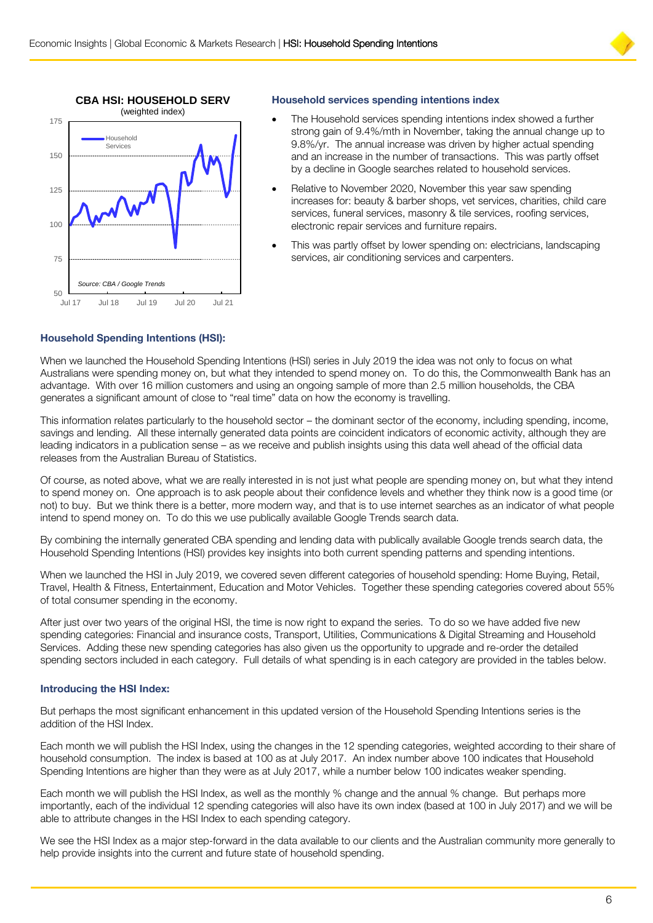



#### **Household services spending intentions index**

- The Household services spending intentions index showed a further strong gain of 9.4%/mth in November, taking the annual change up to 9.8%/yr. The annual increase was driven by higher actual spending and an increase in the number of transactions. This was partly offset by a decline in Google searches related to household services.
- Relative to November 2020, November this year saw spending increases for: beauty & barber shops, vet services, charities, child care services, funeral services, masonry & tile services, roofing services, electronic repair services and furniture repairs.
- This was partly offset by lower spending on: electricians, landscaping services, air conditioning services and carpenters.

#### **Household Spending Intentions (HSI):**

When we launched the Household Spending Intentions (HSI) series in July 2019 the idea was not only to focus on what Australians were spending money on, but what they intended to spend money on. To do this, the Commonwealth Bank has an advantage. With over 16 million customers and using an ongoing sample of more than 2.5 million households, the CBA generates a significant amount of close to "real time" data on how the economy is travelling.

This information relates particularly to the household sector – the dominant sector of the economy, including spending, income, savings and lending. All these internally generated data points are coincident indicators of economic activity, although they are leading indicators in a publication sense – as we receive and publish insights using this data well ahead of the official data releases from the Australian Bureau of Statistics.

Of course, as noted above, what we are really interested in is not just what people are spending money on, but what they intend to spend money on. One approach is to ask people about their confidence levels and whether they think now is a good time (or not) to buy. But we think there is a better, more modern way, and that is to use internet searches as an indicator of what people intend to spend money on. To do this we use publically available Google Trends search data.

By combining the internally generated CBA spending and lending data with publically available Google trends search data, the Household Spending Intentions (HSI) provides key insights into both current spending patterns and spending intentions.

When we launched the HSI in July 2019, we covered seven different categories of household spending: Home Buying, Retail, Travel, Health & Fitness, Entertainment, Education and Motor Vehicles. Together these spending categories covered about 55% of total consumer spending in the economy.

After just over two years of the original HSI, the time is now right to expand the series. To do so we have added five new spending categories: Financial and insurance costs, Transport, Utilities, Communications & Digital Streaming and Household Services. Adding these new spending categories has also given us the opportunity to upgrade and re-order the detailed spending sectors included in each category. Full details of what spending is in each category are provided in the tables below.

#### **Introducing the HSI Index:**

But perhaps the most significant enhancement in this updated version of the Household Spending Intentions series is the addition of the HSI Index.

Each month we will publish the HSI Index, using the changes in the 12 spending categories, weighted according to their share of household consumption. The index is based at 100 as at July 2017. An index number above 100 indicates that Household Spending Intentions are higher than they were as at July 2017, while a number below 100 indicates weaker spending.

Each month we will publish the HSI Index, as well as the monthly % change and the annual % change. But perhaps more importantly, each of the individual 12 spending categories will also have its own index (based at 100 in July 2017) and we will be able to attribute changes in the HSI Index to each spending category.

We see the HSI Index as a major step-forward in the data available to our clients and the Australian community more generally to help provide insights into the current and future state of household spending.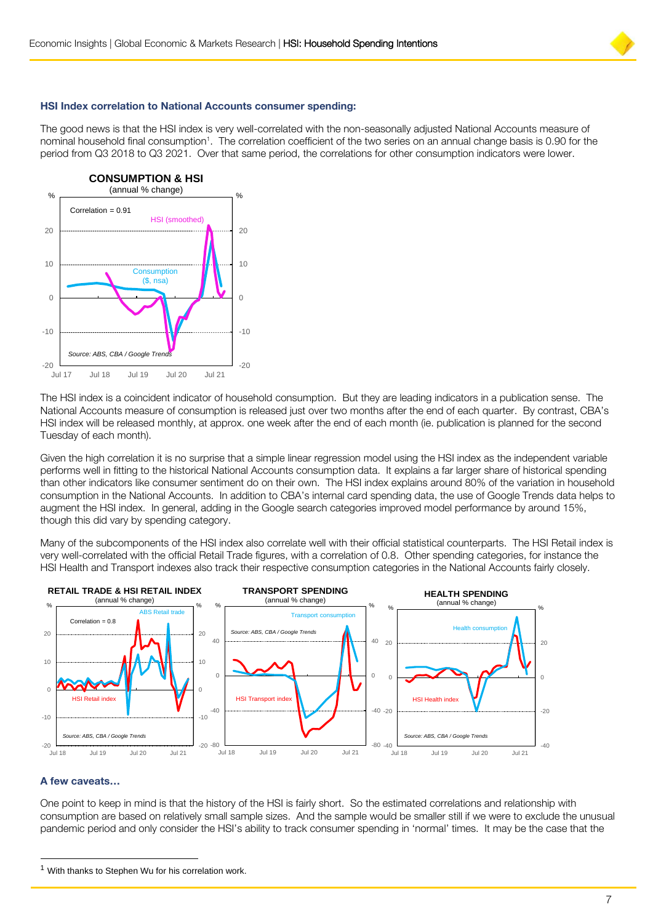

#### **HSI Index correlation to National Accounts consumer spending:**

The good news is that the HSI index is very well-correlated with the non-seasonally adjusted National Accounts measure of nominal household final consumption<sup>1</sup>. The correlation coefficient of the two series on an annual change basis is 0.90 for the period from Q3 2018 to Q3 2021. Over that same period, the correlations for other consumption indicators were lower.



The HSI index is a coincident indicator of household consumption. But they are leading indicators in a publication sense. The National Accounts measure of consumption is released just over two months after the end of each quarter. By contrast, CBA's HSI index will be released monthly, at approx. one week after the end of each month (ie. publication is planned for the second Tuesday of each month).

Given the high correlation it is no surprise that a simple linear regression model using the HSI index as the independent variable performs well in fitting to the historical National Accounts consumption data. It explains a far larger share of historical spending than other indicators like consumer sentiment do on their own. The HSI index explains around 80% of the variation in household consumption in the National Accounts. In addition to CBA's internal card spending data, the use of Google Trends data helps to augment the HSI index. In general, adding in the Google search categories improved model performance by around 15%, though this did vary by spending category.

Many of the subcomponents of the HSI index also correlate well with their official statistical counterparts. The HSI Retail index is very well-correlated with the official Retail Trade figures, with a correlation of 0.8. Other spending categories, for instance the HSI Health and Transport indexes also track their respective consumption categories in the National Accounts fairly closely.



#### **A few caveats…**

l

One point to keep in mind is that the history of the HSI is fairly short. So the estimated correlations and relationship with consumption are based on relatively small sample sizes. And the sample would be smaller still if we were to exclude the unusual pandemic period and only consider the HSI's ability to track consumer spending in 'normal' times. It may be the case that the

 $1$  With thanks to Stephen Wu for his correlation work.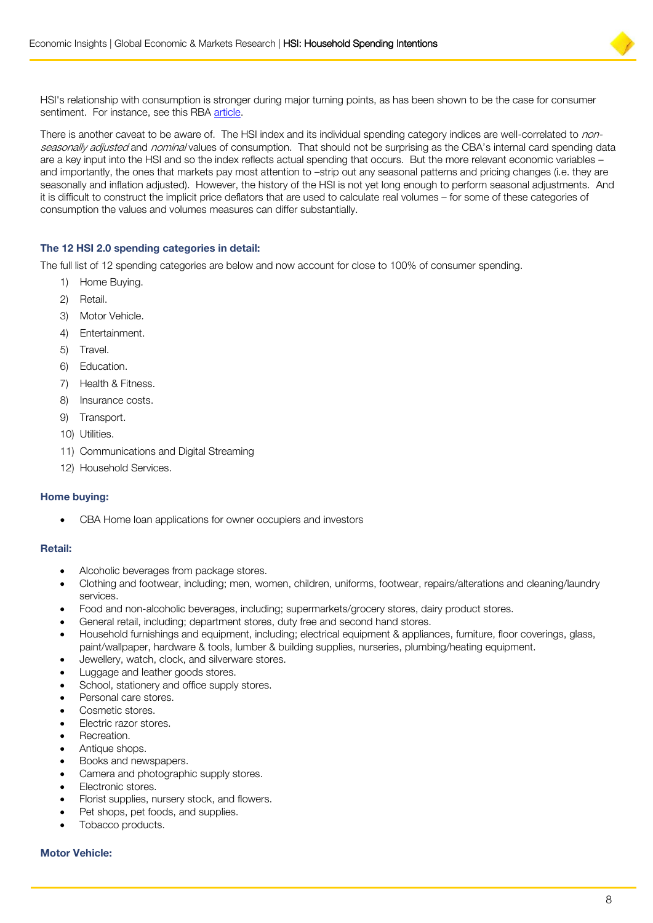

HSI's relationship with consumption is stronger during major turning points, as has been shown to be the case for consumer sentiment. For instance, see this RBA [article.](https://www.rba.gov.au/publications/bulletin/2015/dec/1.html)

There is another caveat to be aware of. The HSI index and its individual spending category indices are well-correlated to nonseasonally adjusted and nominal values of consumption. That should not be surprising as the CBA's internal card spending data are a key input into the HSI and so the index reflects actual spending that occurs. But the more relevant economic variables – and importantly, the ones that markets pay most attention to –strip out any seasonal patterns and pricing changes (i.e. they are seasonally and inflation adjusted). However, the history of the HSI is not yet long enough to perform seasonal adjustments. And it is difficult to construct the implicit price deflators that are used to calculate real volumes – for some of these categories of consumption the values and volumes measures can differ substantially.

#### **The 12 HSI 2.0 spending categories in detail:**

The full list of 12 spending categories are below and now account for close to 100% of consumer spending.

- 1) Home Buying.
- 2) Retail.
- 3) Motor Vehicle.
- 4) Entertainment.
- 5) Travel.
- 6) Education.
- 7) Health & Fitness.
- 8) Insurance costs.
- 9) Transport.
- 10) Utilities.
- 11) Communications and Digital Streaming
- 12) Household Services.

#### **Home buying:**

CBA Home loan applications for owner occupiers and investors

#### **Retail:**

- Alcoholic beverages from package stores.
- Clothing and footwear, including; men, women, children, uniforms, footwear, repairs/alterations and cleaning/laundry services.
- Food and non-alcoholic beverages, including; supermarkets/grocery stores, dairy product stores.
- General retail, including; department stores, duty free and second hand stores.
- Household furnishings and equipment, including; electrical equipment & appliances, furniture, floor coverings, glass, paint/wallpaper, hardware & tools, lumber & building supplies, nurseries, plumbing/heating equipment.
- Jewellery, watch, clock, and silverware stores.
- Luggage and leather goods stores.
- School, stationery and office supply stores.
- Personal care stores.
- Cosmetic stores.
- Electric razor stores.
- Recreation.
- Antique shops.
- Books and newspapers.
- Camera and photographic supply stores.
- Electronic stores.
- Florist supplies, nursery stock, and flowers.
- Pet shops, pet foods, and supplies.
- Tobacco products.

# **Motor Vehicle:**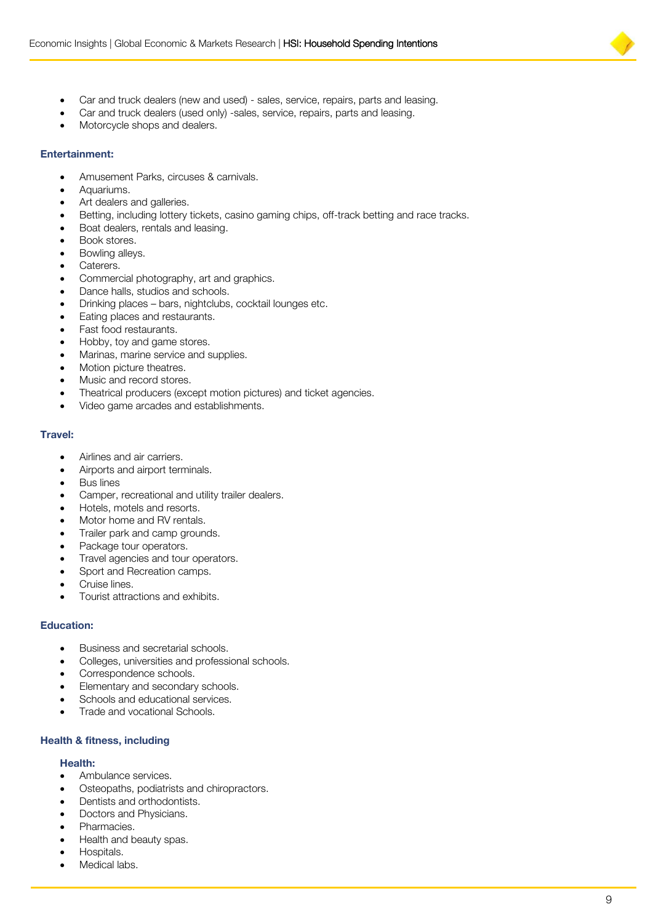

- Car and truck dealers (new and used) sales, service, repairs, parts and leasing.
- Car and truck dealers (used only) -sales, service, repairs, parts and leasing.
- Motorcycle shops and dealers.

#### **Entertainment:**

- Amusement Parks, circuses & carnivals.
- Aquariums.
- Art dealers and galleries.
- Betting, including lottery tickets, casino gaming chips, off-track betting and race tracks.
- Boat dealers, rentals and leasing.
- Book stores.
- Bowling alleys.
- Caterers.
- Commercial photography, art and graphics.
- Dance halls, studios and schools.
- Drinking places bars, nightclubs, cocktail lounges etc.
- Eating places and restaurants.
- Fast food restaurants.
- Hobby, toy and game stores.
- Marinas, marine service and supplies.
- Motion picture theatres.
- Music and record stores.
- Theatrical producers (except motion pictures) and ticket agencies.
- Video game arcades and establishments.

#### **Travel:**

- Airlines and air carriers.
- Airports and airport terminals.
- Bus lines
- Camper, recreational and utility trailer dealers.
- Hotels, motels and resorts.
- Motor home and RV rentals.
- Trailer park and camp grounds.
- Package tour operators.
- Travel agencies and tour operators.
- Sport and Recreation camps.
- Cruise lines.
- Tourist attractions and exhibits.

#### **Education:**

- Business and secretarial schools.
- Colleges, universities and professional schools.
- Correspondence schools.
- Elementary and secondary schools.
- Schools and educational services.
- Trade and vocational Schools.

#### **Health & fitness, including**

#### **Health:**

- Ambulance services.
- Osteopaths, podiatrists and chiropractors.
- Dentists and orthodontists.
- Doctors and Physicians.
- Pharmacies.
- Health and beauty spas.
- Hospitals.
- Medical labs.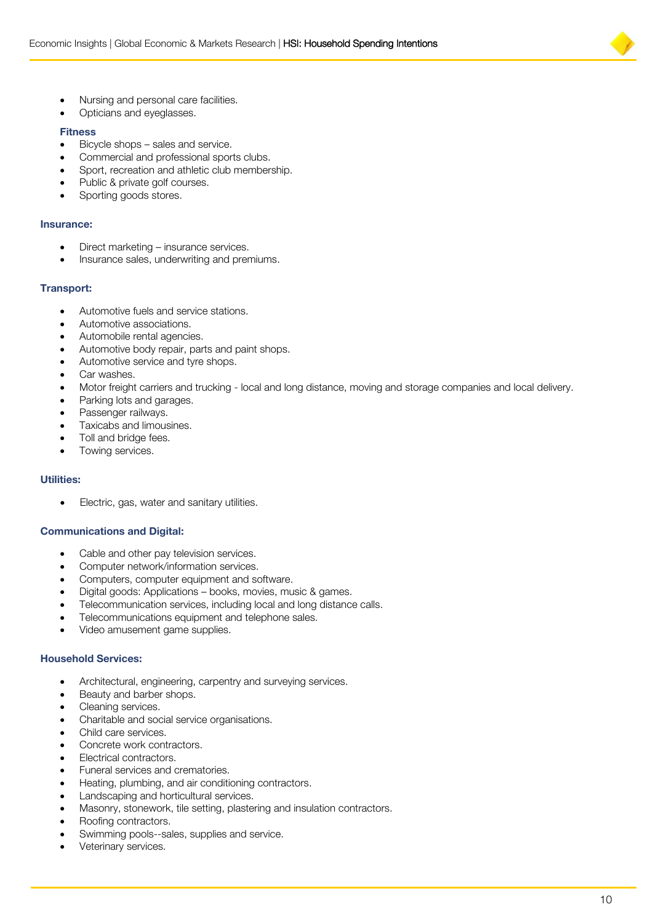

- Nursing and personal care facilities.
- Opticians and eyeglasses.

#### **Fitness**

- Bicycle shops sales and service.
- Commercial and professional sports clubs.
- Sport, recreation and athletic club membership.
- Public & private golf courses.
- Sporting goods stores.

#### **Insurance:**

- Direct marketing insurance services.
- Insurance sales, underwriting and premiums.

#### **Transport:**

- Automotive fuels and service stations.
- Automotive associations.
- Automobile rental agencies.
- Automotive body repair, parts and paint shops.
- Automotive service and tyre shops.
- Car washes.
- Motor freight carriers and trucking local and long distance, moving and storage companies and local delivery.
- Parking lots and garages.
- Passenger railways.
- Taxicabs and limousines.
- Toll and bridge fees.
- Towing services.

#### **Utilities:**

Electric, gas, water and sanitary utilities.

#### **Communications and Digital:**

- Cable and other pay television services.
- Computer network/information services.
- Computers, computer equipment and software.
- Digital goods: Applications books, movies, music & games.
- Telecommunication services, including local and long distance calls.
- Telecommunications equipment and telephone sales.
- Video amusement game supplies.

#### **Household Services:**

- Architectural, engineering, carpentry and surveying services.
- Beauty and barber shops.
- Cleaning services.
- Charitable and social service organisations.
- Child care services.
- Concrete work contractors.
- Electrical contractors.
- Funeral services and crematories.
- Heating, plumbing, and air conditioning contractors.
- Landscaping and horticultural services.
- Masonry, stonework, tile setting, plastering and insulation contractors.
- Roofing contractors.
- Swimming pools--sales, supplies and service.
- Veterinary services.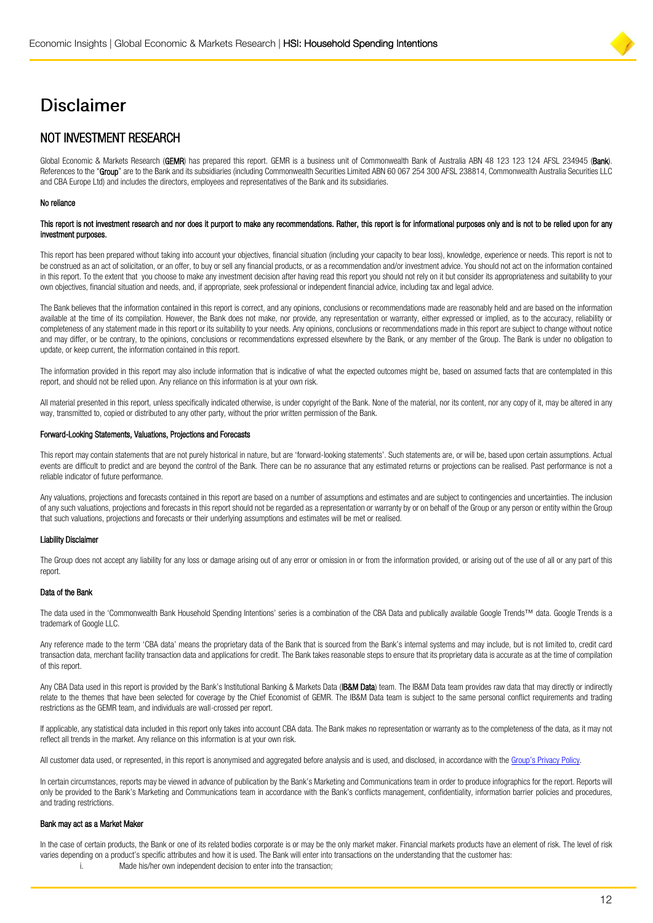# **Disclaimer**

# NOT INVESTMENT RESEARCH

Global Economic & Markets Research (GEMR) has prepared this report. GEMR is a business unit of Commonwealth Bank of Australia ABN 48 123 123 124 AFSL 234945 (Bank). References to the "Group" are to the Bank and its subsidiaries (including Commonwealth Securities Limited ABN 60 067 254 300 AFSL 238814, Commonwealth Australia Securities LLC and CBA Europe Ltd) and includes the directors, employees and representatives of the Bank and its subsidiaries.

#### No reliance

#### This report is not investment research and nor does it purport to make any recommendations. Rather, this report is for informational purposes only and is not to be relied upon for any investment purposes.

This report has been prepared without taking into account your objectives, financial situation (including your capacity to bear loss), knowledge, experience or needs. This report is not to be construed as an act of solicitation, or an offer, to buy or sell any financial products, or as a recommendation and/or investment advice. You should not act on the information contained in this report. To the extent that you choose to make any investment decision after having read this report you should not rely on it but consider its appropriateness and suitability to your own objectives, financial situation and needs, and, if appropriate, seek professional or independent financial advice, including tax and legal advice.

The Bank believes that the information contained in this report is correct, and any opinions, conclusions or recommendations made are reasonably held and are based on the information available at the time of its compilation. However, the Bank does not make, nor provide, any representation or warranty, either expressed or implied, as to the accuracy, reliability or completeness of any statement made in this report or its suitability to your needs. Any opinions, conclusions or recommendations made in this report are subject to change without notice and may differ, or be contrary, to the opinions, conclusions or recommendations expressed elsewhere by the Bank, or any member of the Group. The Bank is under no obligation to update, or keep current, the information contained in this report.

The information provided in this report may also include information that is indicative of what the expected outcomes might be, based on assumed facts that are contemplated in this report, and should not be relied upon. Any reliance on this information is at your own risk.

All material presented in this report, unless specifically indicated otherwise, is under copyright of the Bank. None of the material, nor its content, nor any copy of it, may be altered in any way, transmitted to, copied or distributed to any other party, without the prior written permission of the Bank.

#### Forward-Looking Statements, Valuations, Projections and Forecasts

This report may contain statements that are not purely historical in nature, but are 'forward-looking statements'. Such statements are, or will be, based upon certain assumptions. Actual events are difficult to predict and are beyond the control of the Bank. There can be no assurance that any estimated returns or projections can be realised. Past performance is not a reliable indicator of future performance.

Any valuations, projections and forecasts contained in this report are based on a number of assumptions and estimates and are subject to contingencies and uncertainties. The inclusion of any such valuations, projections and forecasts in this report should not be regarded as a representation or warranty by or on behalf of the Group or any person or entity within the Group that such valuations, projections and forecasts or their underlying assumptions and estimates will be met or realised.

#### Liability Disclaimer

The Group does not accept any liability for any loss or damage arising out of any error or omission in or from the information provided, or arising out of the use of all or any part of this report.

#### Data of the Bank

The data used in the 'Commonwealth Bank Household Spending Intentions' series is a combination of the CBA Data and publically available Google Trends™ data. Google Trends is a trademark of Google LLC.

Any reference made to the term 'CBA data' means the proprietary data of the Bank that is sourced from the Bank's internal systems and may include, but is not limited to, credit card transaction data, merchant facility transaction data and applications for credit. The Bank takes reasonable steps to ensure that its proprietary data is accurate as at the time of compilation of this report.

Any CBA Data used in this report is provided by the Bank's Institutional Banking & Markets Data (IB&M Data) team. The IB&M Data team provides raw data that may directly or indirectly relate to the themes that have been selected for coverage by the Chief Economist of GEMR. The IB&M Data team is subject to the same personal conflict requirements and trading restrictions as the GEMR team, and individuals are wall-crossed per report.

If applicable, any statistical data included in this report only takes into account CBA data. The Bank makes no representation or warranty as to the completeness of the data, as it may not reflect all trends in the market. Any reliance on this information is at your own risk.

All customer data used, or represented, in this report is anonymised and aggregated before analysis and is used, and disclosed, in accordance with the [Group's Privacy Policy](https://www.commbank.com.au/support/privacy/privacy-policy.html).

In certain circumstances, reports may be viewed in advance of publication by the Bank's Marketing and Communications team in order to produce infographics for the report. Reports will only be provided to the Bank's Marketing and Communications team in accordance with the Bank's conflicts management, confidentiality, information barrier policies and procedures, and trading restrictions.

#### Bank may act as a Market Maker

In the case of certain products, the Bank or one of its related bodies corporate is or may be the only market maker. Financial markets products have an element of risk. The level of risk varies depending on a product's specific attributes and how it is used. The Bank will enter into transactions on the understanding that the customer has:

i. Made his/her own independent decision to enter into the transaction;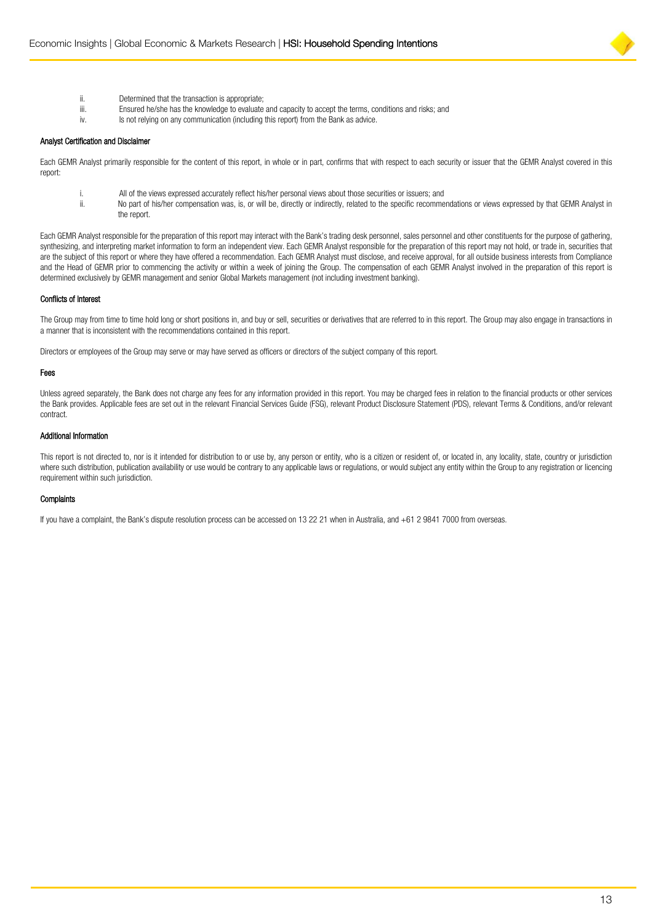

- ii. Determined that the transaction is appropriate;<br>iii Finsured he/she has the knowledge to evaluate
- Ensured he/she has the knowledge to evaluate and capacity to accept the terms, conditions and risks; and
- iv. Is not relying on any communication (including this report) from the Bank as advice.

#### Analyst Certification and Disclaimer

Each GEMR Analyst primarily responsible for the content of this report, in whole or in part, confirms that with respect to each security or issuer that the GEMR Analyst covered in this report:

- i. All of the views expressed accurately reflect his/her personal views about those securities or issuers; and<br>ii. No part of his/her compensation was, is, or will be, directly or indirectly, related to the specific recomm
	- No part of his/her compensation was, is, or will be, directly or indirectly, related to the specific recommendations or views expressed by that GEMR Analyst in the report.

Each GEMR Analyst responsible for the preparation of this report may interact with the Bank's trading desk personnel, sales personnel and other constituents for the purpose of gathering, synthesizing, and interpreting market information to form an independent view. Each GEMR Analyst responsible for the preparation of this report may not hold, or trade in, securities that are the subject of this report or where they have offered a recommendation. Each GEMR Analyst must disclose, and receive approval, for all outside business interests from Compliance and the Head of GEMR prior to commencing the activity or within a week of joining the Group. The compensation of each GEMR Analyst involved in the preparation of this report is determined exclusively by GEMR management and senior Global Markets management (not including investment banking).

#### Conflicts of Interest

The Group may from time to time hold long or short positions in, and buy or sell, securities or derivatives that are referred to in this report. The Group may also engage in transactions in a manner that is inconsistent with the recommendations contained in this report.

Directors or employees of the Group may serve or may have served as officers or directors of the subject company of this report.

#### Fees

Unless agreed separately, the Bank does not charge any fees for any information provided in this report. You may be charged fees in relation to the financial products or other services the Bank provides. Applicable fees are set out in the relevant Financial Services Guide (FSG), relevant Product Disclosure Statement (PDS), relevant Terms & Conditions, and/or relevant contract.

#### Additional Information

This report is not directed to, nor is it intended for distribution to or use by, any person or entity, who is a citizen or resident of, or located in, any locality, state, country or jurisdiction where such distribution, publication availability or use would be contrary to any applicable laws or regulations, or would subject any entity within the Group to any registration or licencing requirement within such jurisdiction.

#### **Complaints**

If you have a complaint, the Bank's dispute resolution process can be accessed on 13 22 21 when in Australia, and +61 2 9841 7000 from overseas.